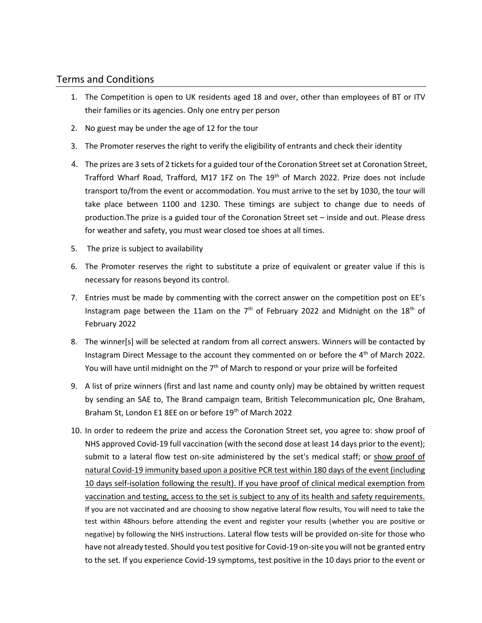## Terms and Conditions

- 1. The Competition is open to UK residents aged 18 and over, other than employees of BT or ITV their families or its agencies. Only one entry per person
- 2. No guest may be under the age of 12 for the tour
- 3. The Promoter reserves the right to verify the eligibility of entrants and check their identity
- 4. The prizes are 3 sets of 2 tickets for a guided tour of the Coronation Street set at Coronation Street, Trafford Wharf Road, Trafford, M17 1FZ on The 19<sup>th</sup> of March 2022. Prize does not include transport to/from the event or accommodation. You must arrive to the set by 1030, the tour will take place between 1100 and 1230. These timings are subject to change due to needs of production.The prize is a guided tour of the Coronation Street set – inside and out. Please dress for weather and safety, you must wear closed toe shoes at all times.
- 5. The prize is subject to availability
- 6. The Promoter reserves the right to substitute a prize of equivalent or greater value if this is necessary for reasons beyond its control.
- 7. Entries must be made by commenting with the correct answer on the competition post on EE's Instagram page between the 11am on the  $7<sup>th</sup>$  of February 2022 and Midnight on the 18<sup>th</sup> of February 2022
- 8. The winner[s] will be selected at random from all correct answers. Winners will be contacted by Instagram Direct Message to the account they commented on or before the 4<sup>th</sup> of March 2022. You will have until midnight on the 7<sup>th</sup> of March to respond or your prize will be forfeited
- 9. A list of prize winners (first and last name and county only) may be obtained by written request by sending an SAE to, The Brand campaign team, British Telecommunication plc, One Braham, Braham St, London E1 8EE on or before 19<sup>th</sup> of March 2022
- 10. In order to redeem the prize and access the Coronation Street set, you agree to: show proof of NHS approved Covid-19 full vaccination (with the second dose at least 14 days prior to the event); submit to a lateral flow test on-site administered by the set's medical staff; or show proof of natural Covid-19 immunity based upon a positive PCR test within 180 days of the event (including 10 days self-isolation following the result). If you have proof of clinical medical exemption from vaccination and testing, access to the set is subject to any of its health and safety requirements. If you are not vaccinated and are choosing to show negative lateral flow results, You will need to take the test within 48hours before attending the event and register your results (whether you are positive or negative) by following the NHS instructions. Lateral flow tests will be provided on-site for those who have not already tested. Should you test positive for Covid-19 on-site you will not be granted entry to the set. If you experience Covid-19 symptoms, test positive in the 10 days prior to the event or